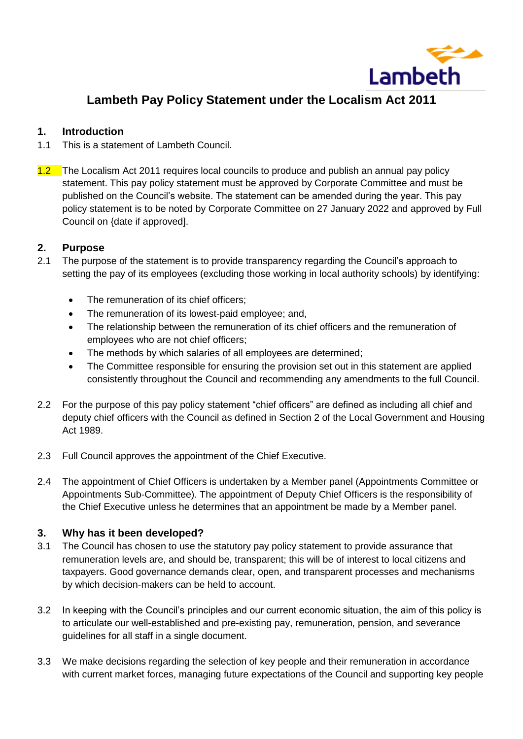

# **Lambeth Pay Policy Statement under the Localism Act 2011**

### **1. Introduction**

- 1.1 This is a statement of Lambeth Council.
- 1.2 The Localism Act 2011 requires local councils to produce and publish an annual pay policy statement. This pay policy statement must be approved by Corporate Committee and must be published on the Council's website. The statement can be amended during the year. This pay policy statement is to be noted by Corporate Committee on 27 January 2022 and approved by Full Council on {date if approved].

## **2. Purpose**

- 2.1 The purpose of the statement is to provide transparency regarding the Council's approach to setting the pay of its employees (excluding those working in local authority schools) by identifying:
	- The remuneration of its chief officers;
	- The remuneration of its lowest-paid employee; and,
	- The relationship between the remuneration of its chief officers and the remuneration of employees who are not chief officers;
	- The methods by which salaries of all employees are determined;
	- The Committee responsible for ensuring the provision set out in this statement are applied consistently throughout the Council and recommending any amendments to the full Council.
- 2.2 For the purpose of this pay policy statement "chief officers" are defined as including all chief and deputy chief officers with the Council as defined in Section 2 of the Local Government and Housing Act 1989.
- 2.3 Full Council approves the appointment of the Chief Executive.
- 2.4 The appointment of Chief Officers is undertaken by a Member panel (Appointments Committee or Appointments Sub-Committee). The appointment of Deputy Chief Officers is the responsibility of the Chief Executive unless he determines that an appointment be made by a Member panel.

# **3. Why has it been developed?**

- 3.1 The Council has chosen to use the statutory pay policy statement to provide assurance that remuneration levels are, and should be, transparent; this will be of interest to local citizens and taxpayers. Good governance demands clear, open, and transparent processes and mechanisms by which decision-makers can be held to account.
- 3.2 In keeping with the Council's principles and our current economic situation, the aim of this policy is to articulate our well-established and pre-existing pay, remuneration, pension, and severance guidelines for all staff in a single document.
- 3.3 We make decisions regarding the selection of key people and their remuneration in accordance with current market forces, managing future expectations of the Council and supporting key people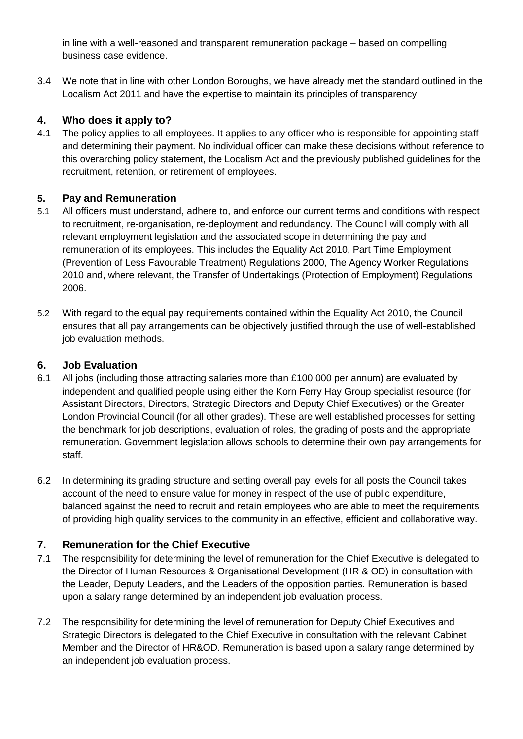in line with a well-reasoned and transparent remuneration package – based on compelling business case evidence.

3.4 We note that in line with other London Boroughs, we have already met the standard outlined in the Localism Act 2011 and have the expertise to maintain its principles of transparency.

# **4. Who does it apply to?**

4.1 The policy applies to all employees. It applies to any officer who is responsible for appointing staff and determining their payment. No individual officer can make these decisions without reference to this overarching policy statement, the Localism Act and the previously published guidelines for the recruitment, retention, or retirement of employees.

# **5. Pay and Remuneration**

- 5.1 All officers must understand, adhere to, and enforce our current terms and conditions with respect to recruitment, re-organisation, re-deployment and redundancy. The Council will comply with all relevant employment legislation and the associated scope in determining the pay and remuneration of its employees. This includes the Equality Act 2010, Part Time Employment (Prevention of Less Favourable Treatment) Regulations 2000, The Agency Worker Regulations 2010 and, where relevant, the Transfer of Undertakings (Protection of Employment) Regulations 2006.
- 5.2 With regard to the equal pay requirements contained within the Equality Act 2010, the Council ensures that all pay arrangements can be objectively justified through the use of well-established job evaluation methods.

# **6. Job Evaluation**

- 6.1 All jobs (including those attracting salaries more than £100,000 per annum) are evaluated by independent and qualified people using either the Korn Ferry Hay Group specialist resource (for Assistant Directors, Directors, Strategic Directors and Deputy Chief Executives) or the Greater London Provincial Council (for all other grades). These are well established processes for setting the benchmark for job descriptions, evaluation of roles, the grading of posts and the appropriate remuneration. Government legislation allows schools to determine their own pay arrangements for staff.
- 6.2 In determining its grading structure and setting overall pay levels for all posts the Council takes account of the need to ensure value for money in respect of the use of public expenditure, balanced against the need to recruit and retain employees who are able to meet the requirements of providing high quality services to the community in an effective, efficient and collaborative way.

# **7. Remuneration for the Chief Executive**

- 7.1 The responsibility for determining the level of remuneration for the Chief Executive is delegated to the Director of Human Resources & Organisational Development (HR & OD) in consultation with the Leader, Deputy Leaders, and the Leaders of the opposition parties. Remuneration is based upon a salary range determined by an independent job evaluation process.
- 7.2 The responsibility for determining the level of remuneration for Deputy Chief Executives and Strategic Directors is delegated to the Chief Executive in consultation with the relevant Cabinet Member and the Director of HR&OD. Remuneration is based upon a salary range determined by an independent job evaluation process.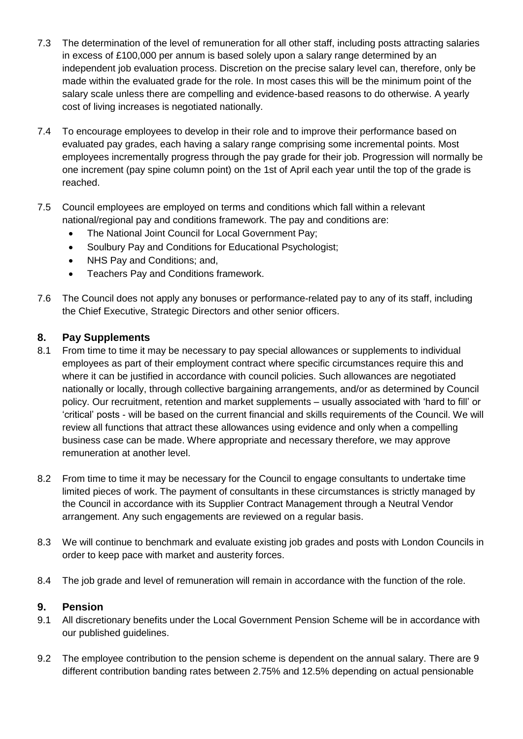- 7.3 The determination of the level of remuneration for all other staff, including posts attracting salaries in excess of £100,000 per annum is based solely upon a salary range determined by an independent job evaluation process. Discretion on the precise salary level can, therefore, only be made within the evaluated grade for the role. In most cases this will be the minimum point of the salary scale unless there are compelling and evidence-based reasons to do otherwise. A yearly cost of living increases is negotiated nationally.
- 7.4 To encourage employees to develop in their role and to improve their performance based on evaluated pay grades, each having a salary range comprising some incremental points. Most employees incrementally progress through the pay grade for their job. Progression will normally be one increment (pay spine column point) on the 1st of April each year until the top of the grade is reached.
- 7.5 Council employees are employed on terms and conditions which fall within a relevant national/regional pay and conditions framework. The pay and conditions are:
	- The National Joint Council for Local Government Pay;
	- Soulbury Pay and Conditions for Educational Psychologist:
	- NHS Pay and Conditions; and,
	- **•** Teachers Pay and Conditions framework.
- 7.6 The Council does not apply any bonuses or performance-related pay to any of its staff, including the Chief Executive, Strategic Directors and other senior officers.

#### **8. Pay Supplements**

- 8.1 From time to time it may be necessary to pay special allowances or supplements to individual employees as part of their employment contract where specific circumstances require this and where it can be justified in accordance with council policies. Such allowances are negotiated nationally or locally, through collective bargaining arrangements, and/or as determined by Council policy. Our recruitment, retention and market supplements – usually associated with 'hard to fill' or 'critical' posts - will be based on the current financial and skills requirements of the Council. We will review all functions that attract these allowances using evidence and only when a compelling business case can be made. Where appropriate and necessary therefore, we may approve remuneration at another level.
- 8.2 From time to time it may be necessary for the Council to engage consultants to undertake time limited pieces of work. The payment of consultants in these circumstances is strictly managed by the Council in accordance with its Supplier Contract Management through a Neutral Vendor arrangement. Any such engagements are reviewed on a regular basis.
- 8.3 We will continue to benchmark and evaluate existing job grades and posts with London Councils in order to keep pace with market and austerity forces.
- 8.4 The job grade and level of remuneration will remain in accordance with the function of the role.

#### **9. Pension**

- 9.1 All discretionary benefits under the Local Government Pension Scheme will be in accordance with our published guidelines.
- 9.2 The employee contribution to the pension scheme is dependent on the annual salary. There are 9 different contribution banding rates between 2.75% and 12.5% depending on actual pensionable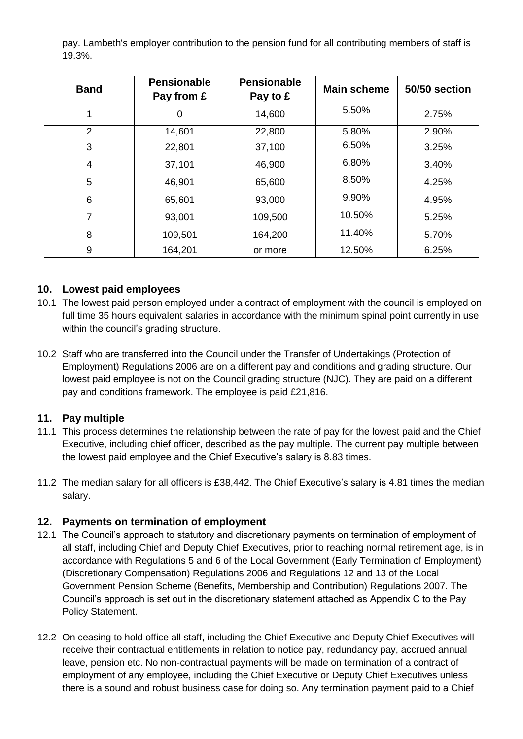pay. Lambeth's employer contribution to the pension fund for all contributing members of staff is 19.3%.

| <b>Band</b> | <b>Pensionable</b><br>Pay from £ | <b>Pensionable</b><br>Pay to £ | <b>Main scheme</b> | 50/50 section |
|-------------|----------------------------------|--------------------------------|--------------------|---------------|
|             | 0                                | 14,600                         | 5.50%              | 2.75%         |
| 2           | 14,601                           | 22,800                         | 5.80%              | 2.90%         |
| 3           | 22,801                           | 37,100                         | 6.50%              | 3.25%         |
| 4           | 37,101                           | 46,900                         | 6.80%              | 3.40%         |
| 5           | 46,901                           | 65,600                         | 8.50%              | 4.25%         |
| 6           | 65,601                           | 93,000                         | 9.90%              | 4.95%         |
| 7           | 93,001                           | 109,500                        | 10.50%             | 5.25%         |
| 8           | 109,501                          | 164,200                        | 11.40%             | 5.70%         |
| 9           | 164,201                          | or more                        | 12.50%             | 6.25%         |

## **10. Lowest paid employees**

- 10.1 The lowest paid person employed under a contract of employment with the council is employed on full time 35 hours equivalent salaries in accordance with the minimum spinal point currently in use within the council's grading structure.
- 10.2 Staff who are transferred into the Council under the Transfer of Undertakings (Protection of Employment) Regulations 2006 are on a different pay and conditions and grading structure. Our lowest paid employee is not on the Council grading structure (NJC). They are paid on a different pay and conditions framework. The employee is paid £21,816.

#### **11. Pay multiple**

- 11.1 This process determines the relationship between the rate of pay for the lowest paid and the Chief Executive, including chief officer, described as the pay multiple. The current pay multiple between the lowest paid employee and the Chief Executive's salary is 8.83 times.
- 11.2 The median salary for all officers is £38,442. The Chief Executive's salary is 4.81 times the median salary.

# **12. Payments on termination of employment**

- 12.1 The Council's approach to statutory and discretionary payments on termination of employment of all staff, including Chief and Deputy Chief Executives, prior to reaching normal retirement age, is in accordance with Regulations 5 and 6 of the Local Government (Early Termination of Employment) (Discretionary Compensation) Regulations 2006 and Regulations 12 and 13 of the Local Government Pension Scheme (Benefits, Membership and Contribution) Regulations 2007. The Council's approach is set out in the discretionary statement attached as Appendix C to the Pay Policy Statement.
- 12.2 On ceasing to hold office all staff, including the Chief Executive and Deputy Chief Executives will receive their contractual entitlements in relation to notice pay, redundancy pay, accrued annual leave, pension etc. No non-contractual payments will be made on termination of a contract of employment of any employee, including the Chief Executive or Deputy Chief Executives unless there is a sound and robust business case for doing so. Any termination payment paid to a Chief